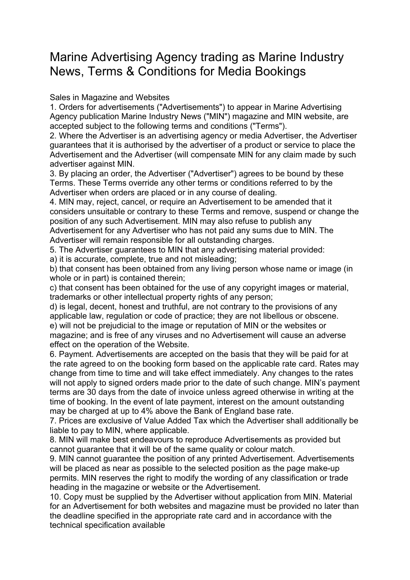## Marine Advertising Agency trading as Marine Industry News, Terms & Conditions for Media Bookings

Sales in Magazine and Websites

1. Orders for advertisements ("Advertisements") to appear in Marine Advertising Agency publication Marine Industry News ("MIN") magazine and MIN website, are accepted subject to the following terms and conditions ("Terms").

2. Where the Advertiser is an advertising agency or media Advertiser, the Advertiser guarantees that it is authorised by the advertiser of a product or service to place the Advertisement and the Advertiser (will compensate MIN for any claim made by such advertiser against MIN.

3. By placing an order, the Advertiser ("Advertiser") agrees to be bound by these Terms. These Terms override any other terms or conditions referred to by the Advertiser when orders are placed or in any course of dealing.

4. MIN may, reject, cancel, or require an Advertisement to be amended that it considers unsuitable or contrary to these Terms and remove, suspend or change the position of any such Advertisement. MIN may also refuse to publish any Advertisement for any Advertiser who has not paid any sums due to MIN. The

Advertiser will remain responsible for all outstanding charges.

5. The Advertiser guarantees to MIN that any advertising material provided:

a) it is accurate, complete, true and not misleading;

b) that consent has been obtained from any living person whose name or image (in whole or in part) is contained therein;

c) that consent has been obtained for the use of any copyright images or material, trademarks or other intellectual property rights of any person;

d) is legal, decent, honest and truthful, are not contrary to the provisions of any applicable law, regulation or code of practice; they are not libellous or obscene. e) will not be prejudicial to the image or reputation of MIN or the websites or magazine; and is free of any viruses and no Advertisement will cause an adverse effect on the operation of the Website.

6. Payment. Advertisements are accepted on the basis that they will be paid for at the rate agreed to on the booking form based on the applicable rate card. Rates may change from time to time and will take effect immediately. Any changes to the rates will not apply to signed orders made prior to the date of such change. MIN's payment terms are 30 days from the date of invoice unless agreed otherwise in writing at the time of booking. In the event of late payment, interest on the amount outstanding may be charged at up to 4% above the Bank of England base rate.

7. Prices are exclusive of Value Added Tax which the Advertiser shall additionally be liable to pay to MIN, where applicable.

8. MIN will make best endeavours to reproduce Advertisements as provided but cannot guarantee that it will be of the same quality or colour match.

9. MIN cannot guarantee the position of any printed Advertisement. Advertisements will be placed as near as possible to the selected position as the page make-up permits. MIN reserves the right to modify the wording of any classification or trade heading in the magazine or website or the Advertisement.

10. Copy must be supplied by the Advertiser without application from MIN. Material for an Advertisement for both websites and magazine must be provided no later than the deadline specified in the appropriate rate card and in accordance with the technical specification available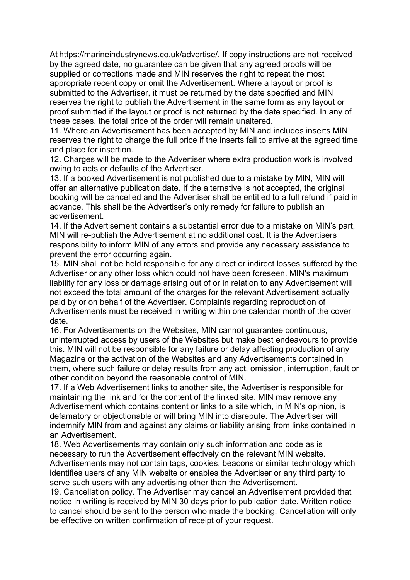At https://marineindustrynews.co.uk/advertise/. If copy instructions are not received by the agreed date, no guarantee can be given that any agreed proofs will be supplied or corrections made and MIN reserves the right to repeat the most appropriate recent copy or omit the Advertisement. Where a layout or proof is submitted to the Advertiser, it must be returned by the date specified and MIN reserves the right to publish the Advertisement in the same form as any layout or proof submitted if the layout or proof is not returned by the date specified. In any of these cases, the total price of the order will remain unaltered.

11. Where an Advertisement has been accepted by MIN and includes inserts MIN reserves the right to charge the full price if the inserts fail to arrive at the agreed time and place for insertion.

12. Charges will be made to the Advertiser where extra production work is involved owing to acts or defaults of the Advertiser.

13. If a booked Advertisement is not published due to a mistake by MIN, MIN will offer an alternative publication date. If the alternative is not accepted, the original booking will be cancelled and the Advertiser shall be entitled to a full refund if paid in advance. This shall be the Advertiser's only remedy for failure to publish an advertisement.

14. If the Advertisement contains a substantial error due to a mistake on MIN's part, MIN will re-publish the Advertisement at no additional cost. It is the Advertisers responsibility to inform MIN of any errors and provide any necessary assistance to prevent the error occurring again.

15. MIN shall not be held responsible for any direct or indirect losses suffered by the Advertiser or any other loss which could not have been foreseen. MIN's maximum liability for any loss or damage arising out of or in relation to any Advertisement will not exceed the total amount of the charges for the relevant Advertisement actually paid by or on behalf of the Advertiser. Complaints regarding reproduction of Advertisements must be received in writing within one calendar month of the cover date.

16. For Advertisements on the Websites, MIN cannot guarantee continuous, uninterrupted access by users of the Websites but make best endeavours to provide this. MIN will not be responsible for any failure or delay affecting production of any Magazine or the activation of the Websites and any Advertisements contained in them, where such failure or delay results from any act, omission, interruption, fault or other condition beyond the reasonable control of MIN.

17. If a Web Advertisement links to another site, the Advertiser is responsible for maintaining the link and for the content of the linked site. MIN may remove any Advertisement which contains content or links to a site which, in MIN's opinion, is defamatory or objectionable or will bring MIN into disrepute. The Advertiser will indemnify MIN from and against any claims or liability arising from links contained in an Advertisement.

18. Web Advertisements may contain only such information and code as is necessary to run the Advertisement effectively on the relevant MIN website. Advertisements may not contain tags, cookies, beacons or similar technology which identifies users of any MIN website or enables the Advertiser or any third party to serve such users with any advertising other than the Advertisement.

19. Cancellation policy. The Advertiser may cancel an Advertisement provided that notice in writing is received by MIN 30 days prior to publication date. Written notice to cancel should be sent to the person who made the booking. Cancellation will only be effective on written confirmation of receipt of your request.